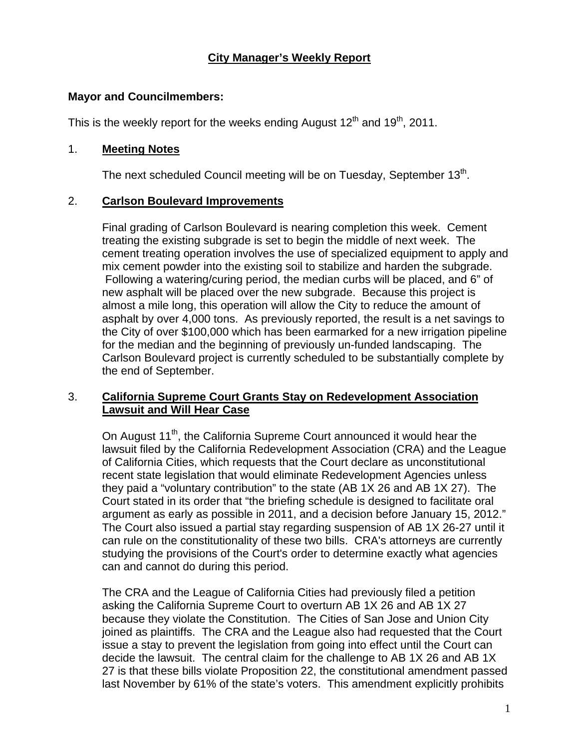## **City Manager's Weekly Report**

### **Mayor and Councilmembers:**

This is the weekly report for the weeks ending August  $12<sup>th</sup>$  and  $19<sup>th</sup>$ , 2011.

## 1. **Meeting Notes**

The next scheduled Council meeting will be on Tuesday, September  $13<sup>th</sup>$ .

## 2. **Carlson Boulevard Improvements**

Final grading of Carlson Boulevard is nearing completion this week. Cement treating the existing subgrade is set to begin the middle of next week. The cement treating operation involves the use of specialized equipment to apply and mix cement powder into the existing soil to stabilize and harden the subgrade. Following a watering/curing period, the median curbs will be placed, and 6" of new asphalt will be placed over the new subgrade. Because this project is almost a mile long, this operation will allow the City to reduce the amount of asphalt by over 4,000 tons. As previously reported, the result is a net savings to the City of over \$100,000 which has been earmarked for a new irrigation pipeline for the median and the beginning of previously un-funded landscaping. The Carlson Boulevard project is currently scheduled to be substantially complete by the end of September.

## 3. **California Supreme Court Grants Stay on Redevelopment Association Lawsuit and Will Hear Case**

On August 11<sup>th</sup>, the California Supreme Court announced it would hear the lawsuit filed by the California Redevelopment Association (CRA) and the League of California Cities, which requests that the Court declare as unconstitutional recent state legislation that would eliminate Redevelopment Agencies unless they paid a "voluntary contribution" to the state (AB 1X 26 and AB 1X 27). The Court stated in its order that "the briefing schedule is designed to facilitate oral argument as early as possible in 2011, and a decision before January 15, 2012." The Court also issued a partial stay regarding suspension of AB 1X 26-27 until it can rule on the constitutionality of these two bills. CRA's attorneys are currently studying the provisions of the Court's order to determine exactly what agencies can and cannot do during this period.

The CRA and the League of California Cities had previously filed a petition asking the California Supreme Court to overturn AB 1X 26 and AB 1X 27 because they violate the Constitution. The Cities of San Jose and Union City joined as plaintiffs. The CRA and the League also had requested that the Court issue a stay to prevent the legislation from going into effect until the Court can decide the lawsuit. The central claim for the challenge to AB 1X 26 and AB 1X 27 is that these bills violate Proposition 22, the constitutional amendment passed last November by 61% of the state's voters. This amendment explicitly prohibits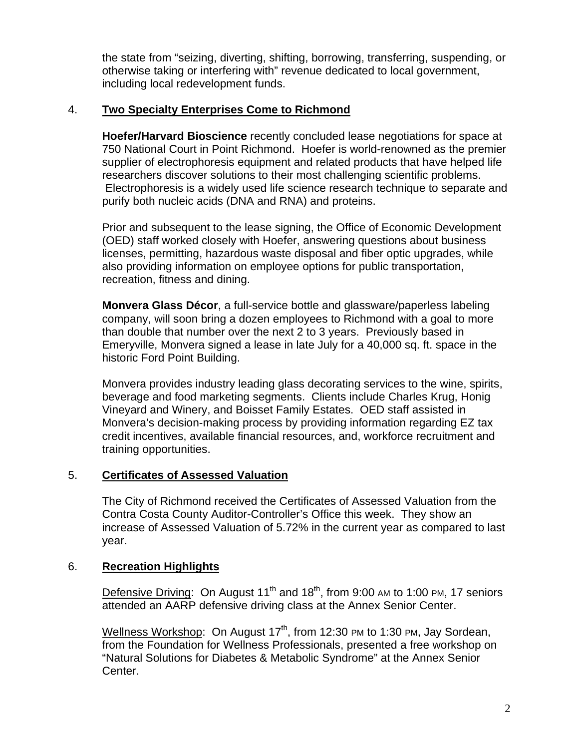the state from "seizing, diverting, shifting, borrowing, transferring, suspending, or otherwise taking or interfering with" revenue dedicated to local government, including local redevelopment funds.

## 4. **Two Specialty Enterprises Come to Richmond**

**Hoefer/Harvard Bioscience** recently concluded lease negotiations for space at 750 National Court in Point Richmond. Hoefer is world-renowned as the premier supplier of electrophoresis equipment and related products that have helped life researchers discover solutions to their most challenging scientific problems. Electrophoresis is a widely used life science research technique to separate and purify both nucleic acids (DNA and RNA) and proteins.

Prior and subsequent to the lease signing, the Office of Economic Development (OED) staff worked closely with Hoefer, answering questions about business licenses, permitting, hazardous waste disposal and fiber optic upgrades, while also providing information on employee options for public transportation, recreation, fitness and dining.

**Monvera Glass Décor**, a full-service bottle and glassware/paperless labeling company, will soon bring a dozen employees to Richmond with a goal to more than double that number over the next 2 to 3 years. Previously based in Emeryville, Monvera signed a lease in late July for a 40,000 sq. ft. space in the historic Ford Point Building.

Monvera provides industry leading glass decorating services to the wine, spirits, beverage and food marketing segments. Clients include Charles Krug, Honig Vineyard and Winery, and Boisset Family Estates. OED staff assisted in Monvera's decision-making process by providing information regarding EZ tax credit incentives, available financial resources, and, workforce recruitment and training opportunities.

## 5. **Certificates of Assessed Valuation**

The City of Richmond received the Certificates of Assessed Valuation from the Contra Costa County Auditor-Controller's Office this week. They show an increase of Assessed Valuation of 5.72% in the current year as compared to last year.

## 6. **Recreation Highlights**

Defensive Driving: On August 11<sup>th</sup> and 18<sup>th</sup>, from 9:00 AM to 1:00 PM, 17 seniors attended an AARP defensive driving class at the Annex Senior Center.

Wellness Workshop: On August  $17<sup>th</sup>$ , from 12:30 PM to 1:30 PM, Jay Sordean, from the Foundation for Wellness Professionals, presented a free workshop on "Natural Solutions for Diabetes & Metabolic Syndrome" at the Annex Senior Center.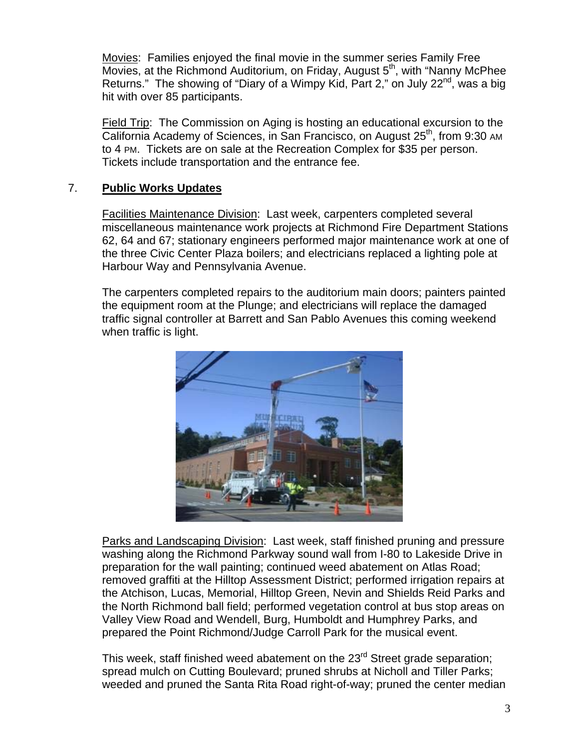Movies: Families enjoyed the final movie in the summer series Family Free Movies, at the Richmond Auditorium, on Friday, August  $5<sup>th</sup>$ , with "Nanny McPhee Returns." The showing of "Diary of a Wimpy Kid, Part 2," on July 22 $^{\text{nd}}$ , was a big hit with over 85 participants.

Field Trip: The Commission on Aging is hosting an educational excursion to the California Academy of Sciences, in San Francisco, on August 25<sup>th</sup>, from 9:30 AM to 4 PM. Tickets are on sale at the Recreation Complex for \$35 per person. Tickets include transportation and the entrance fee.

## 7. **Public Works Updates**

Facilities Maintenance Division: Last week, carpenters completed several miscellaneous maintenance work projects at Richmond Fire Department Stations 62, 64 and 67; stationary engineers performed major maintenance work at one of the three Civic Center Plaza boilers; and electricians replaced a lighting pole at Harbour Way and Pennsylvania Avenue.

The carpenters completed repairs to the auditorium main doors; painters painted the equipment room at the Plunge; and electricians will replace the damaged traffic signal controller at Barrett and San Pablo Avenues this coming weekend when traffic is light.



Parks and Landscaping Division: Last week, staff finished pruning and pressure washing along the Richmond Parkway sound wall from I-80 to Lakeside Drive in preparation for the wall painting; continued weed abatement on Atlas Road; removed graffiti at the Hilltop Assessment District; performed irrigation repairs at the Atchison, Lucas, Memorial, Hilltop Green, Nevin and Shields Reid Parks and the North Richmond ball field; performed vegetation control at bus stop areas on Valley View Road and Wendell, Burg, Humboldt and Humphrey Parks, and prepared the Point Richmond/Judge Carroll Park for the musical event.

This week, staff finished weed abatement on the  $23<sup>rd</sup>$  Street grade separation; spread mulch on Cutting Boulevard; pruned shrubs at Nicholl and Tiller Parks; weeded and pruned the Santa Rita Road right-of-way; pruned the center median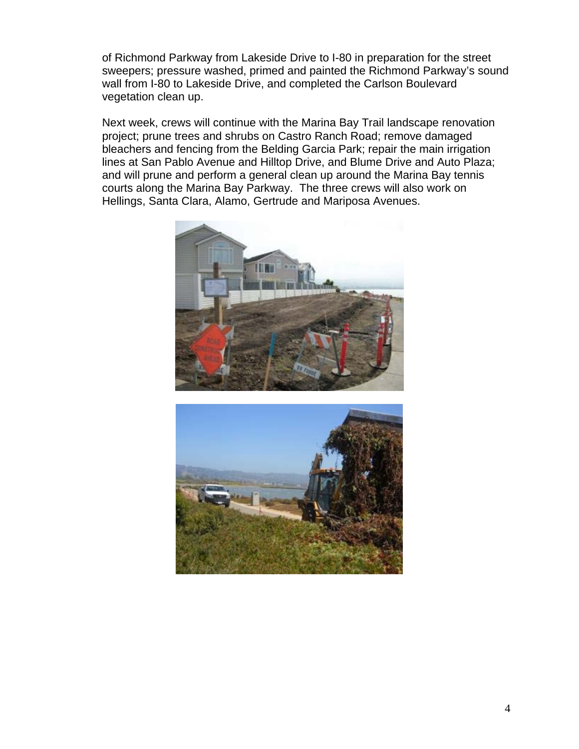of Richmond Parkway from Lakeside Drive to I-80 in preparation for the street sweepers; pressure washed, primed and painted the Richmond Parkway's sound wall from I-80 to Lakeside Drive, and completed the Carlson Boulevard vegetation clean up.

Next week, crews will continue with the Marina Bay Trail landscape renovation project; prune trees and shrubs on Castro Ranch Road; remove damaged bleachers and fencing from the Belding Garcia Park; repair the main irrigation lines at San Pablo Avenue and Hilltop Drive, and Blume Drive and Auto Plaza; and will prune and perform a general clean up around the Marina Bay tennis courts along the Marina Bay Parkway. The three crews will also work on Hellings, Santa Clara, Alamo, Gertrude and Mariposa Avenues.